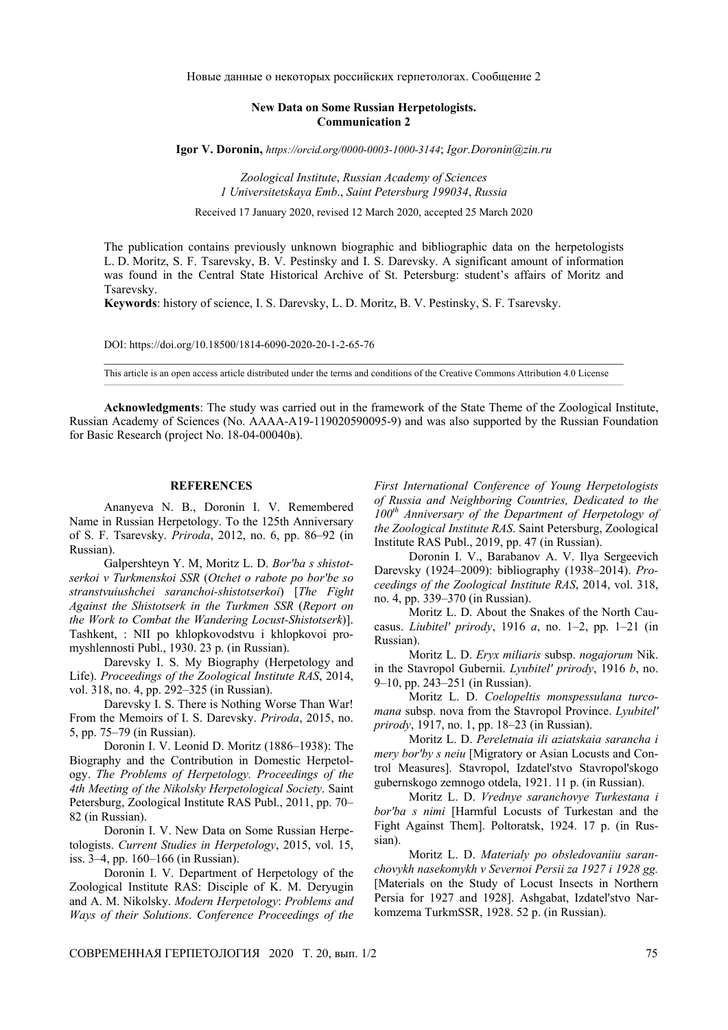Новые данные о некоторых российских герпетологах. Сообщение 2

## **New Data on Some Russian Herpetologists. Communication 2**

**Igor V. Doronin,** *https://orcid.org/0000-0003-1000-3144*; *Igor.Doronin*@*zin.ru*

*Zoological Institute*, *Russian Academy of Sciences 1 Universitetskaya Emb*., *Saint Petersburg 199034*, *Russia*

Received 17 January 2020, revised 12 March 2020, accepted 25 March 2020

The publication contains previously unknown biographic and bibliographic data on the herpetologists L. D. Moritz, S. F. Tsarevsky, B. V. Pestinsky and I. S. Darevsky. A significant amount of information was found in the Central State Historical Archive of St. Petersburg: student's affairs of Moritz and Tsarevsky.

**Keywords**: history of science, I. S. Darevsky, L. D. Moritz, B. V. Pestinsky, S. F. Tsarevsky.

DOI: https://doi.org/10.18500/1814-6090-2020-20-1-2-65-76

 $\_$  , and the state of the state of the state of the state of the state of the state of the state of the state of the state of the state of the state of the state of the state of the state of the state of the state of the This article is an open access article distributed under the terms and conditions of the Creative Commons Attribution 4.0 License

**Acknowledgments**: The study was carried out in the framework of the State Theme of the Zoological Institute, Russian Academy of Sciences (No. АААА-А19-119020590095-9) and was also supported by the Russian Foundation for Basic Research (project No. 18-04-00040в).

## **REFERENCES**

Ananyeva N. B., Doronin I. V. Remembered Name in Russian Herpetology. To the 125th Anniversary of S. F. Tsarevsky. *Priroda*, 2012, no. 6, pp. 86–92 (in Russian).

Galpershteyn Y. M, Moritz L. D. *Bor'ba s shistotserkoi v Turkmenskoi SSR* (*Otchet o rabote po bor'be so stranstvuiushchei saranchoi-shistotserkoi*) [*The Fight Against the Shistotserk in the Turkmen SSR* (*Report on the Work to Combat the Wandering Locust-Shistotserk*)]. Tashkent, : NII po khlopkovodstvu i khlopkovoi promyshlennosti Publ., 1930. 23 p. (in Russian).

Darevsky I. S. My Biography (Herpetology and Life). *Proceedings of the Zoological Institute RAS*, 2014, vol. 318, no. 4, pp. 292–325 (in Russian).

Darevsky I. S. There is Nothing Worse Than War! From the Memoirs of I. S. Darevsky. *Priroda*, 2015, no. 5, pp. 75–79 (in Russian).

Doronin I. V. Leonid D. Moritz (1886–1938): The Biography and the Contribution in Domestic Herpetology. *The Problems of Herpetology. Proceedings of the 4th Meeting of the Nikolsky Herpetological Society*. Saint Petersburg, Zoological Institute RAS Publ., 2011, pp. 70– 82 (in Russian).

Doronin I. V. New Data on Some Russian Herpetologists. *Current Studies in Herpetology*, 2015, vol. 15, iss. 3–4, pp. 160–166 (in Russian).

Doronin I. V. Department of Herpetology of the Zoological Institute RAS: Disciple of K. M. Deryugin and A. M. Nikolsky. *Modern Herpetology*: *Problems and Ways of their Solutions*. *Conference Proceedings of the*  *First International Conference of Young Herpetologists of Russia and Neighboring Countries, Dedicated to the 100th Anniversary of the Department of Herpetology of the Zoological Institute RAS*. Saint Petersburg, Zoological Institute RAS Publ., 2019, pp. 47 (in Russian).

Doronin I. V., Barabanov А. V. Ilya Sergeevich Darevsky (1924–2009): bibliography (1938–2014). *Proceedings of the Zoological Institute RAS*, 2014, vol. 318, no. 4, pp. 339–370 (in Russian).

Moritz L. D. About the Snakes of the North Caucasus. *Liubitel' prirody*, 1916 *а*, no. 1–2, pp. 1–21 (in Russian).

Moritz L. D. *Eryx miliaris* subsp. *nogajorum* Nik. in the Stavropol Gubernii. *Lyubitel' prirody*, 1916 *b*, no. 9–10, pp. 243–251 (in Russian).

Moritz L. D. *Coelopeltis monspessulana turcomana* subsp. nova from the Stavropol Province. *Lyubitel' prirody*, 1917, no. 1, pp. 18–23 (in Russian).

Moritz L. D. *Pereletnaia ili aziatskaia sarancha i mery bor'by s neiu* [Migratory or Asian Locusts and Control Measures]. Stavropol, Izdatel'stvo Stavropol'skogo gubernskogo zemnogo otdela, 1921. 11 p. (in Russian).

Moritz L. D. *Vrednye saranchovye Turkestana i bor'ba s nimi* [Harmful Locusts of Turkestan and the Fight Against Them]. Poltoratsk, 1924. 17 p. (in Russian).

Moritz L. D. *Materialy po obsledovaniiu saranchovykh nasekomykh v Severnoi Persii za 1927 i 1928 gg.* [Materials on the Study of Locust Insects in Northern Persia for 1927 and 1928]. Ashgabat, Izdatel'stvo Narkomzema TurkmSSR, 1928. 52 p. (in Russian).